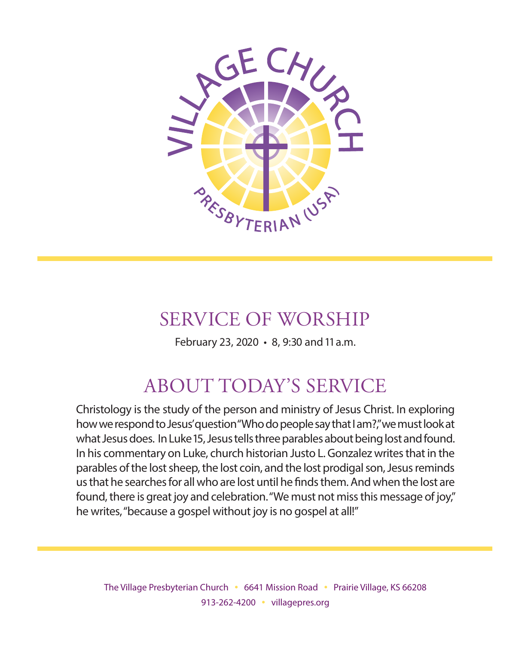

# SERVICE OF WORSHIP

February 23, 2020 • 8, 9:30 and 11 a.m.

# ABOUT TODAY'S SERVICE

Christology is the study of the person and ministry of Jesus Christ. In exploring how we respond to Jesus' question "Who do people say that I am?," we must look at what Jesus does. In Luke 15, Jesus tells three parables about being lost and found. In his commentary on Luke, church historian Justo L. Gonzalez writes that in the parables of the lost sheep, the lost coin, and the lost prodigal son, Jesus reminds us that he searches for all who are lost until he finds them. And when the lost are found, there is great joy and celebration. "We must not miss this message of joy," he writes, "because a gospel without joy is no gospel at all!"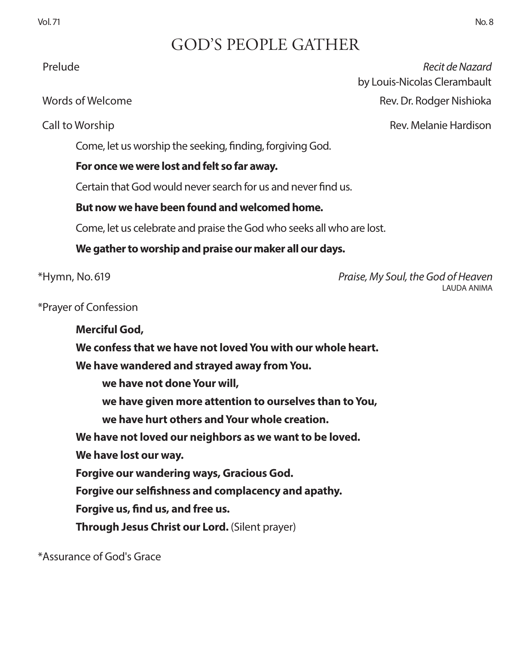# GOD'S PEOPLE GATHER

Come, let us worship the seeking, finding, forgiving God.

### **For once we were lost and felt so far away.**

Certain that God would never search for us and never find us.

### **But now we have been found and welcomed home.**

Come, let us celebrate and praise the God who seeks all who are lost.

### **We gather to worship and praise our maker all our days.**

\*Hymn, No. 619 *Praise, My Soul, the God of Heaven* LAUDA ANIMA

\*Prayer of Confession

**Merciful God, We confess that we have not loved You with our whole heart. We have wandered and strayed away from You. we have not done Your will, we have given more attention to ourselves than to You, we have hurt others and Your whole creation. We have not loved our neighbors as we want to be loved. We have lost our way. Forgive our wandering ways, Gracious God. Forgive our selfishness and complacency and apathy. Forgive us, find us, and free us.**

**Through Jesus Christ our Lord.** (Silent prayer)

\*Assurance of God's Grace

Prelude *Recit de Nazard* by Louis-Nicolas Clerambault Words of Welcome **Rev. Dr. Rodger Nishioka** 

Call to Worship Rev. Melanie Hardison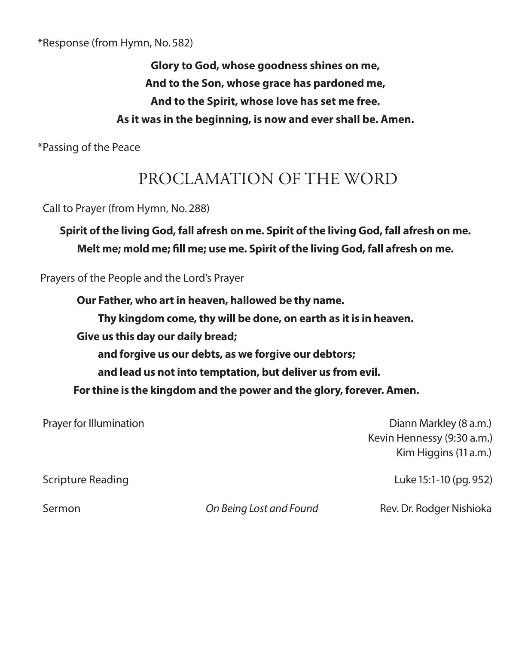\*Response (from Hymn, No. 582)

**Glory to God, whose goodness shines on me, And to the Son, whose grace has pardoned me, And to the Spirit, whose love has set me free. As it was in the beginning, is now and ever shall be. Amen.**

\*Passing of the Peace

# PROCLAMATION OF THE WORD

Call to Prayer (from Hymn, No. 288)

**Spirit of the living God, fall afresh on me. Spirit of the living God, fall afresh on me. Melt me; mold me; fill me; use me. Spirit of the living God, fall afresh on me.**

Prayers of the People and the Lord's Prayer

**Our Father, who art in heaven, hallowed be thy name. Thy kingdom come, thy will be done, on earth as it is in heaven. Give us this day our daily bread; and forgive us our debts, as we forgive our debtors; and lead us not into temptation, but deliver us from evil. For thine is the kingdom and the power and the glory, forever. Amen.**

 Prayer for Illumination Diann Markley (8 a.m.) Kevin Hennessy (9:30 a.m.) Kim Higgins (11 a.m.) Scripture Reading **Luke 15:1-10 (pg. 952)** 

Sermon *On Being Lost and Found* Rev. Dr. Rodger Nishioka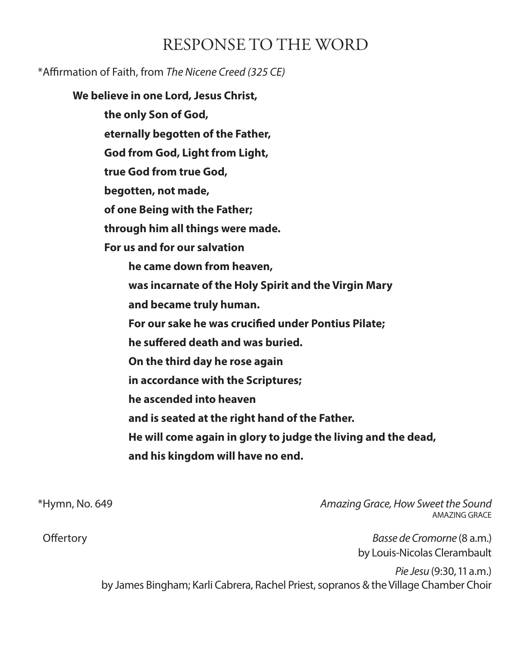# RESPONSE TO THE WORD

### \*Affirmation of Faith, from *The Nicene Creed (325 CE)*

**We believe in one Lord, Jesus Christ,** 

**the only Son of God,**

**eternally begotten of the Father,**

**God from God, Light from Light,**

**true God from true God,**

**begotten, not made,**

**of one Being with the Father;**

**through him all things were made.**

**For us and for our salvation**

 **he came down from heaven,**

 **was incarnate of the Holy Spirit and the Virgin Mary**

 **and became truly human.**

 **For our sake he was crucified under Pontius Pilate;**

 **he suffered death and was buried.**

 **On the third day he rose again**

 **in accordance with the Scriptures;**

 **he ascended into heaven**

 **and is seated at the right hand of the Father.**

 **He will come again in glory to judge the living and the dead,**

 **and his kingdom will have no end.**

\*Hymn, No. 649 *Amazing Grace, How Sweet the Sound* AMAZING GRACE

 Offertory *Basse de Cromorne* (8 a.m.) by Louis-Nicolas Clerambault

> *Pie Jesu* (9:30, 11 a.m.) by James Bingham; Karli Cabrera, Rachel Priest, sopranos & the Village Chamber Choir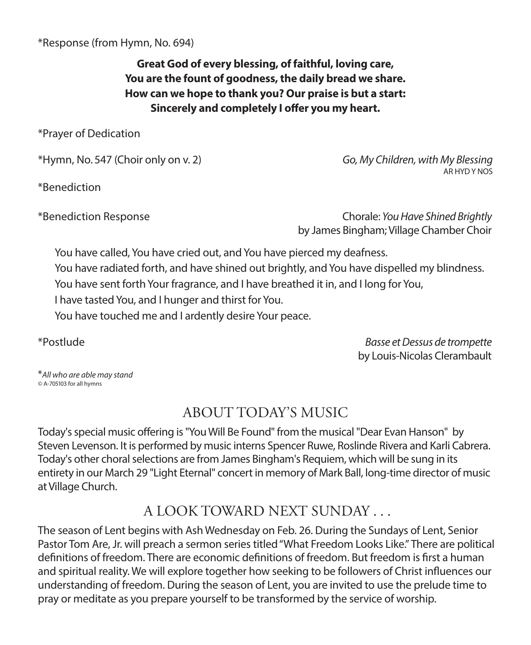\*Response (from Hymn, No. 694)

**Great God of every blessing, of faithful, loving care, You are the fount of goodness, the daily bread we share. How can we hope to thank you? Our praise is but a start: Sincerely and completely I offer you my heart.**

\*Prayer of Dedication

\*Hymn, No. 547 (Choir only on v. 2) *Go, My Children, with My Blessing*

\*Benediction

AR HYD Y NOS

\*Benediction Response Chorale: *You Have Shined Brightly*  by James Bingham; Village Chamber Choir

You have called, You have cried out, and You have pierced my deafness.

You have radiated forth, and have shined out brightly, and You have dispelled my blindness.

You have sent forth Your fragrance, and I have breathed it in, and I long for You,

I have tasted You, and I hunger and thirst for You.

You have touched me and I ardently desire Your peace.

\*Postlude *Basse et Dessus de trompette*  by Louis-Nicolas Clerambault

\**All who are able may stand ©* A-705103 for all hymns

# ABOUT TODAY'S MUSIC

Today's special music offering is "You Will Be Found" from the musical "Dear Evan Hanson" by Steven Levenson. It is performed by music interns Spencer Ruwe, Roslinde Rivera and Karli Cabrera. Today's other choral selections are from James Bingham's Requiem, which will be sung in its entirety in our March 29 "Light Eternal" concert in memory of Mark Ball, long-time director of music at Village Church.

# A LOOK TOWARD NEXT SUNDAY . . .

The season of Lent begins with Ash Wednesday on Feb. 26. During the Sundays of Lent, Senior Pastor Tom Are, Jr. will preach a sermon series titled "What Freedom Looks Like." There are political definitions of freedom. There are economic definitions of freedom. But freedom is first a human and spiritual reality. We will explore together how seeking to be followers of Christ influences our understanding of freedom. During the season of Lent, you are invited to use the prelude time to pray or meditate as you prepare yourself to be transformed by the service of worship.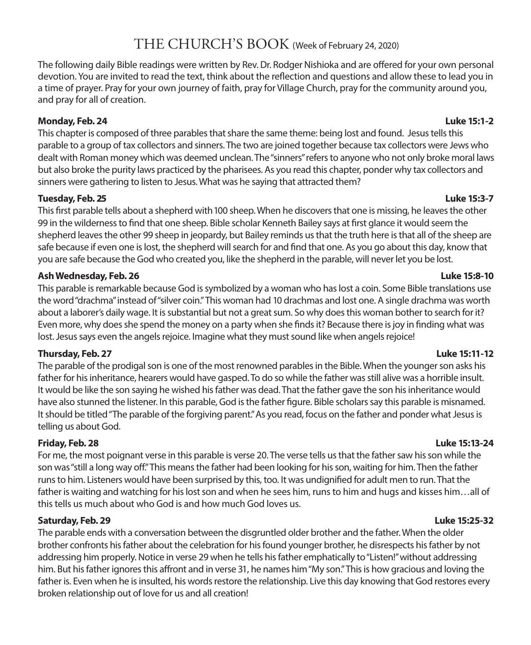### THE CHURCH'S BOOK (Week of February 24, 2020)

The following daily Bible readings were written by Rev. Dr. Rodger Nishioka and are offered for your own personal devotion. You are invited to read the text, think about the reflection and questions and allow these to lead you in a time of prayer. Pray for your own journey of faith, pray for Village Church, pray for the community around you, and pray for all of creation.

### **Monday, Feb. 24 Luke 15:1-2**

This chapter is composed of three parables that share the same theme: being lost and found. Jesus tells this parable to a group of tax collectors and sinners. The two are joined together because tax collectors were Jews who dealt with Roman money which was deemed unclean. The "sinners" refers to anyone who not only broke moral laws but also broke the purity laws practiced by the pharisees. As you read this chapter, ponder why tax collectors and sinners were gathering to listen to Jesus. What was he saying that attracted them?

### **Tuesday, Feb. 25 Luke 15:3-7**

This first parable tells about a shepherd with 100 sheep. When he discovers that one is missing, he leaves the other 99 in the wilderness to find that one sheep. Bible scholar Kenneth Bailey says at first glance it would seem the shepherd leaves the other 99 sheep in jeopardy, but Bailey reminds us that the truth here is that all of the sheep are safe because if even one is lost, the shepherd will search for and find that one. As you go about this day, know that you are safe because the God who created you, like the shepherd in the parable, will never let you be lost.

### **Ash Wednesday, Feb. 26 Luke 15:8-10**

This parable is remarkable because God is symbolized by a woman who has lost a coin. Some Bible translations use the word "drachma" instead of "silver coin." This woman had 10 drachmas and lost one. A single drachma was worth about a laborer's daily wage. It is substantial but not a great sum. So why does this woman bother to search for it? Even more, why does she spend the money on a party when she finds it? Because there is joy in finding what was lost. Jesus says even the angels rejoice. Imagine what they must sound like when angels rejoice!

### **Thursday, Feb. 27 Luke 15:11-12**

The parable of the prodigal son is one of the most renowned parables in the Bible. When the younger son asks his father for his inheritance, hearers would have gasped. To do so while the father was still alive was a horrible insult. It would be like the son saying he wished his father was dead. That the father gave the son his inheritance would have also stunned the listener. In this parable, God is the father figure. Bible scholars say this parable is misnamed. It should be titled "The parable of the forgiving parent." As you read, focus on the father and ponder what Jesus is telling us about God.

### **Friday, Feb. 28 Luke 15:13-24**

For me, the most poignant verse in this parable is verse 20. The verse tells us that the father saw his son while the son was "still a long way off." This means the father had been looking for his son, waiting for him. Then the father runs to him. Listeners would have been surprised by this, too. It was undignified for adult men to run. That the father is waiting and watching for his lost son and when he sees him, runs to him and hugs and kisses him…all of this tells us much about who God is and how much God loves us.

### **Saturday, Feb. 29 Luke 15:25-32**

The parable ends with a conversation between the disgruntled older brother and the father. When the older brother confronts his father about the celebration for his found younger brother, he disrespects his father by not addressing him properly. Notice in verse 29 when he tells his father emphatically to "Listen!" without addressing him. But his father ignores this affront and in verse 31, he names him "My son." This is how gracious and loving the father is. Even when he is insulted, his words restore the relationship. Live this day knowing that God restores every broken relationship out of love for us and all creation!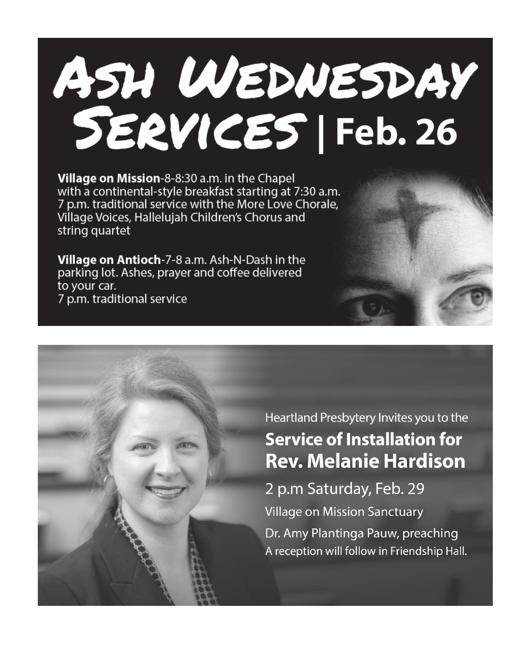# ASH WEDNESDAY SERVICES | Feb. 26

Village on Mission-8-8:30 a.m. in the Chapel with a continental-style breakfast starting at 7:30 a.m. 7 p.m. traditional service with the More Love Chorale, Village Voices, Hallelujah Children's Chorus and string quartet

Village on Antioch-7-8 a.m. Ash-N-Dash in the parking lot. Ashes, prayer and coffee delivered to your car. 7 p.m. traditional service



Heartland Presbytery Invites you to the **Service of Installation for Rev. Melanie Hardison** 2 p.m Saturday, Feb. 29 **Village on Mission Sanctuary** Dr. Amy Plantinga Pauw, preaching

A reception will follow in Friendship Hall.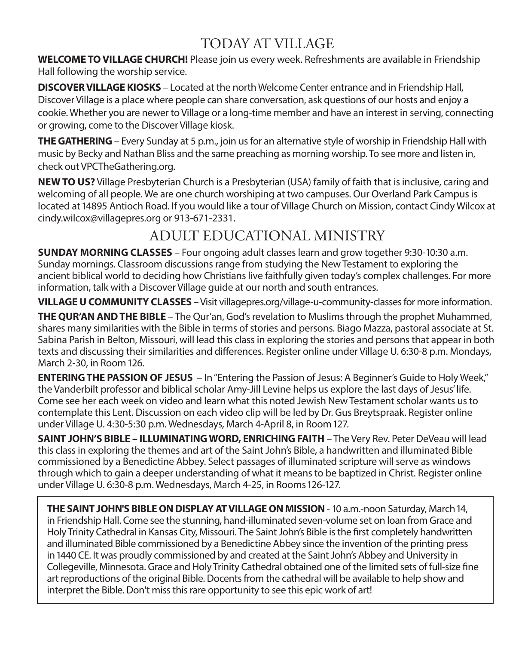# TODAY AT VILLAGE

**WELCOME TO VILLAGE CHURCH!** Please join us every week. Refreshments are available in Friendship Hall following the worship service.

**DISCOVER VILLAGE KIOSKS** – Located at the north Welcome Center entrance and in Friendship Hall, Discover Village is a place where people can share conversation, ask questions of our hosts and enjoy a cookie. Whether you are newer to Village or a long-time member and have an interest in serving, connecting or growing, come to the Discover Village kiosk.

**THE GATHERING** – Every Sunday at 5 p.m., join us for an alternative style of worship in Friendship Hall with music by Becky and Nathan Bliss and the same preaching as morning worship. To see more and listen in, check out VPCTheGathering.org.

**NEW TO US?** Village Presbyterian Church is a Presbyterian (USA) family of faith that is inclusive, caring and welcoming of all people. We are one church worshiping at two campuses. Our Overland Park Campus is located at 14895 Antioch Road. If you would like a tour of Village Church on Mission, contact Cindy Wilcox at cindy.wilcox@villagepres.org or 913-671-2331.

# ADULT EDUCATIONAL MINISTRY

**SUNDAY MORNING CLASSES** – Four ongoing adult classes learn and grow together 9:30-10:30 a.m. Sunday mornings. Classroom discussions range from studying the New Testament to exploring the ancient biblical world to deciding how Christians live faithfully given today's complex challenges. For more information, talk with a Discover Village guide at our north and south entrances.

**VILLAGE U COMMUNITY CLASSES** – Visit villagepres.org/village-u-community-classes for more information.

**THE QUR'AN AND THE BIBLE** – The Qur'an, God's revelation to Muslims through the prophet Muhammed, shares many similarities with the Bible in terms of stories and persons. Biago Mazza, pastoral associate at St. Sabina Parish in Belton, Missouri, will lead this class in exploring the stories and persons that appear in both texts and discussing their similarities and differences. Register online under Village U. 6:30-8 p.m. Mondays, March 2-30, in Room 126.

**ENTERING THE PASSION OF JESUS** – In "Entering the Passion of Jesus: A Beginner's Guide to Holy Week," the Vanderbilt professor and biblical scholar Amy-Jill Levine helps us explore the last days of Jesus' life. Come see her each week on video and learn what this noted Jewish New Testament scholar wants us to contemplate this Lent. Discussion on each video clip will be led by Dr. Gus Breytspraak. Register online under Village U. 4:30-5:30 p.m. Wednesdays, March 4-April 8, in Room 127.

**SAINT JOHN'S BIBLE – ILLUMINATING WORD, ENRICHING FAITH** – The Very Rev. Peter DeVeau will lead this class in exploring the themes and art of the Saint John's Bible, a handwritten and illuminated Bible commissioned by a Benedictine Abbey. Select passages of illuminated scripture will serve as windows through which to gain a deeper understanding of what it means to be baptized in Christ. Register online under Village U. 6:30-8 p.m. Wednesdays, March 4-25, in Rooms 126-127.

**THE SAINT JOHN'S BIBLE ON DISPLAY AT VILLAGE ON MISSION** - 10 a.m.-noon Saturday, March 14, in Friendship Hall. Come see the stunning, hand-illuminated seven-volume set on loan from Grace and Holy Trinity Cathedral in Kansas City, Missouri. The Saint John's Bible is the first completely handwritten and illuminated Bible commissioned by a Benedictine Abbey since the invention of the printing press in 1440 CE. It was proudly commissioned by and created at the Saint John's Abbey and University in Collegeville, Minnesota. Grace and Holy Trinity Cathedral obtained one of the limited sets of full-size fine art reproductions of the original Bible. Docents from the cathedral will be available to help show and interpret the Bible. Don't miss this rare opportunity to see this epic work of art!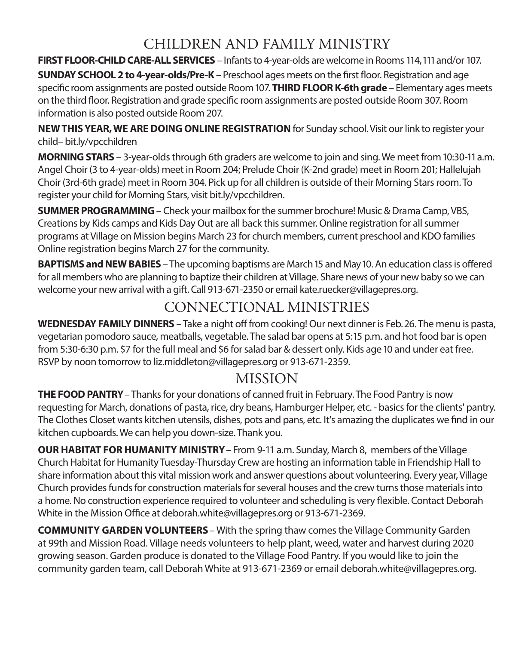# CHILDREN AND FAMILY MINISTRY

**FIRST FLOOR-CHILD CARE-ALL SERVICES** – Infants to 4-year-olds are welcome in Rooms 114, 111 and/or 107.

**SUNDAY SCHOOL 2 to 4-year-olds/Pre-K** – Preschool ages meets on the first floor. Registration and age specific room assignments are posted outside Room 107. **THIRD FLOOR K-6th grade** – Elementary ages meets on the third floor. Registration and grade specific room assignments are posted outside Room 307. Room information is also posted outside Room 207.

**NEW THIS YEAR, WE ARE DOING ONLINE REGISTRATION** for Sunday school. Visit our link to register your child– bit.ly/vpcchildren

**MORNING STARS** – 3-year-olds through 6th graders are welcome to join and sing. We meet from 10:30-11 a.m. Angel Choir (3 to 4-year-olds) meet in Room 204; Prelude Choir (K-2nd grade) meet in Room 201; Hallelujah Choir (3rd-6th grade) meet in Room 304. Pick up for all children is outside of their Morning Stars room. To register your child for Morning Stars, visit bit.ly/vpcchildren.

**SUMMER PROGRAMMING**– Check your mailbox for the summer brochure! Music & Drama Camp, VBS, Creations by Kids camps and Kids Day Out are all back this summer. Online registration for all summer programs at Village on Mission begins March 23 for church members, current preschool and KDO families Online registration begins March 27 for the community.

**BAPTISMS and NEW BABIES** – The upcoming baptisms are March 15 and May 10. An education class is offered for all members who are planning to baptize their children at Village. Share news of your new baby so we can welcome your new arrival with a gift. Call 913-671-2350 or email kate.ruecker@villagepres.org.

# CONNECTIONAL MINISTRIES

**WEDNESDAY FAMILY DINNERS** – Take a night off from cooking! Our next dinner is Feb. 26. The menu is pasta, vegetarian pomodoro sauce, meatballs, vegetable. The salad bar opens at 5:15 p.m. and hot food bar is open from 5:30-6:30 p.m. \$7 for the full meal and \$6 for salad bar & dessert only. Kids age 10 and under eat free. RSVP by noon tomorrow to liz.middleton@villagepres.org or 913-671-2359.

# MISSION

**THE FOOD PANTRY**– Thanks for your donations of canned fruit in February. The Food Pantry is now requesting for March, donations of pasta, rice, dry beans, Hamburger Helper, etc. - basics for the clients' pantry. The Clothes Closet wants kitchen utensils, dishes, pots and pans, etc. It's amazing the duplicates we find in our kitchen cupboards. We can help you down-size. Thank you.

**OUR HABITAT FOR HUMANITY MINISTRY**– From 9-11 a.m. Sunday, March 8, members of the Village Church Habitat for Humanity Tuesday-Thursday Crew are hosting an information table in Friendship Hall to share information about this vital mission work and answer questions about volunteering. Every year, Village Church provides funds for construction materials for several houses and the crew turns those materials into a home. No construction experience required to volunteer and scheduling is very flexible. Contact Deborah White in the Mission Office at deborah.white@villagepres.org or 913-671-2369.

**COMMUNITY GARDEN VOLUNTEERS**– With the spring thaw comes the Village Community Garden at 99th and Mission Road. Village needs volunteers to help plant, weed, water and harvest during 2020 growing season. Garden produce is donated to the Village Food Pantry. If you would like to join the community garden team, call Deborah White at 913-671-2369 or email deborah.white@villagepres.org.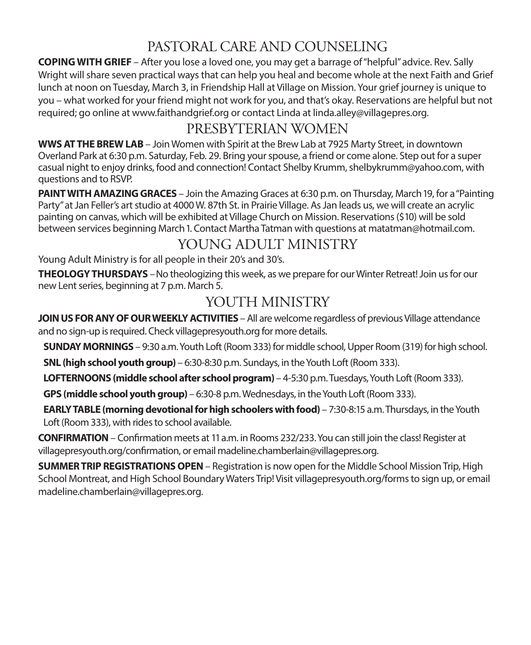# PASTORAL CARE AND COUNSELING

**COPING WITH GRIEF** – After you lose a loved one, you may get a barrage of "helpful" advice. Rev. Sally Wright will share seven practical ways that can help you heal and become whole at the next Faith and Grief lunch at noon on Tuesday, March 3, in Friendship Hall at Village on Mission. Your grief journey is unique to you – what worked for your friend might not work for you, and that's okay. Reservations are helpful but not required; go online at www.faithandgrief.org or contact Linda at linda.alley@villagepres.org.

### PRESBYTERIAN WOMEN

**WWS AT THE BREW LAB** – Join Women with Spirit at the Brew Lab at 7925 Marty Street, in downtown Overland Park at 6:30 p.m. Saturday, Feb. 29. Bring your spouse, a friend or come alone. Step out for a super casual night to enjoy drinks, food and connection! Contact Shelby Krumm, shelbykrumm@yahoo.com, with questions and to RSVP.

**PAINT WITH AMAZING GRACES** – Join the Amazing Graces at 6:30 p.m. on Thursday, March 19, for a "Painting Party" at Jan Feller's art studio at 4000 W. 87th St. in Prairie Village. As Jan leads us, we will create an acrylic painting on canvas, which will be exhibited at Village Church on Mission. Reservations (\$10) will be sold between services beginning March 1. Contact Martha Tatman with questions at matatman@hotmail.com.

# YOUNG ADULT MINISTRY

Young Adult Ministry is for all people in their 20's and 30's.

**THEOLOGY THURSDAYS** – No theologizing this week, as we prepare for our Winter Retreat! Join us for our new Lent series, beginning at 7 p.m. March 5.

### YOUTH MINISTRY

**JOIN US FOR ANY OF OUR WEEKLY ACTIVITIES** – All are welcome regardless of previous Village attendance and no sign-up is required. Check villagepresyouth.org for more details.

**SUNDAY MORNINGS** – 9:30 a.m. Youth Loft (Room 333) for middle school, Upper Room (319) for high school.

**SNL (high school youth group)** – 6:30-8:30 p.m. Sundays, in the Youth Loft (Room 333).

**LOFTERNOONS (middle school after school program)** – 4-5:30 p.m. Tuesdays, Youth Loft (Room 333).

**GPS (middle school youth group)** – 6:30-8 p.m. Wednesdays, in the Youth Loft (Room 333).

**EARLY TABLE (morning devotional for high schoolers with food)** – 7:30-8:15 a.m. Thursdays, in the Youth Loft (Room 333), with rides to school available.

**CONFIRMATION** – Confirmation meets at 11 a.m. in Rooms 232/233. You can still join the class! Register at villagepresyouth.org/confirmation, or email madeline.chamberlain@villagepres.org.

**SUMMER TRIP REGISTRATIONS OPEN** – Registration is now open for the Middle School Mission Trip, High School Montreat, and High School Boundary Waters Trip! Visit villagepresyouth.org/forms to sign up, or email madeline.chamberlain@villagepres.org.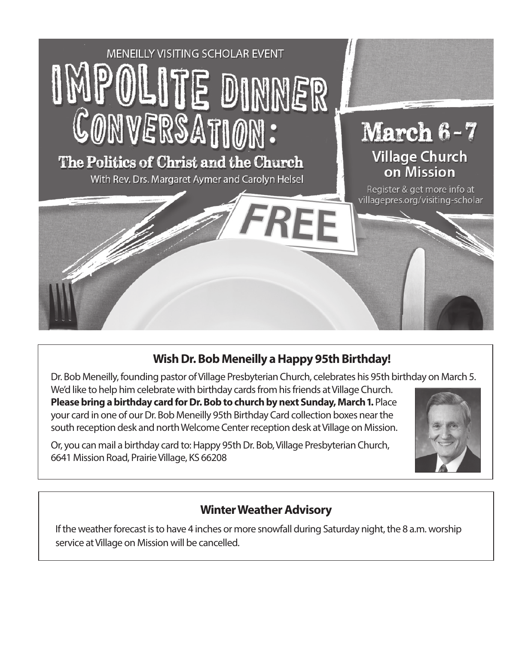

### **Wish Dr. Bob Meneilly a Happy 95th Birthday!**

Dr. Bob Meneilly, founding pastor of Village Presbyterian Church, celebrates his 95th birthday on March 5. We'd like to help him celebrate with birthday cards from his friends at Village Church. **Please bring a birthday card for Dr. Bob to church by next Sunday, March 1.** Place your card in one of our Dr. Bob Meneilly 95th Birthday Card collection boxes near the south reception desk and north Welcome Center reception desk at Village on Mission.

Or, you can mail a birthday card to: Happy 95th Dr. Bob, Village Presbyterian Church, 6641 Mission Road, Prairie Village, KS 66208



### **Winter Weather Advisory**

If the weather forecast is to have 4 inches or more snowfall during Saturday night, the 8 a.m. worship service at Village on Mission will be cancelled.